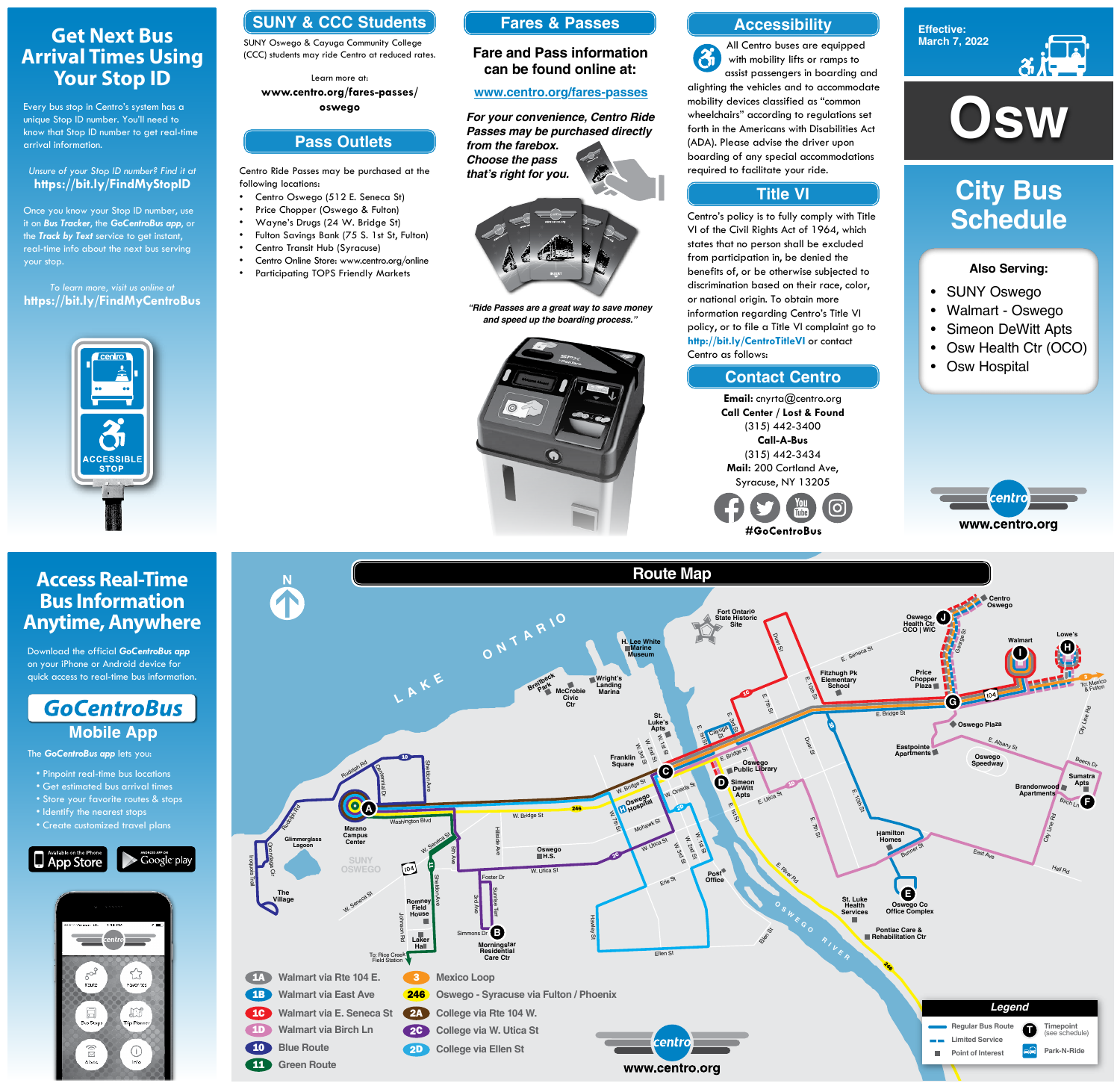Centro Ride Passes may be purchased at the following locations:

- Centro Oswego (512 E. Seneca St)
- Price Chopper (Oswego & Fulton)
- Wayne's Drugs (24 W. Bridge St)
- Fulton Savings Bank (75 S. 1st St, Fulton)
- Centro Transit Hub (Syracuse)
- Centro Online Store: www.centro.org/online
- Participating TOPS Friendly Markets





### **Also Serving:**

- SUNY Oswego
- Walmart Oswego
- Simeon DeWitt Apts
- Osw Health Ctr (OCO)
- Osw Hospital



# **City Bus Schedule**

## **SUNY & CCC Students**

SUNY Oswego & Cayuga Community College (CCC) students may ride Centro at reduced rates.

Learn more at: **www.centro.org/fares-passes/ oswego**

## **Get Next Bus Arrival Times Using Your Stop ID**

Every bus stop in Centro's system has a unique Stop ID number. You'll need to know that Stop ID number to get real-time arrival information.

#### *Unsure of your Stop ID number? Find it at* **https://bit.ly/FindMyStopID**

Once you know your Stop ID number, use it on *Bus Tracker*, the *GoCentroBus app*, or the *Track by Text* service to get instant, real-time info about the next bus serving your stop.

#### *To learn more, visit us online at* **https://bit.ly/FindMyCentroBus**



## **Access Real-Time Bus Information Anytime, Anywhere**

Download the official *GoCentroBus app* on your iPhone or Android device for quick access to real-time bus information.

## **GoCentroBus Mobile App**

The *GoCentroBus app* lets you:

- Pinpoint real-time bus locations
- Get estimated bus arrival times
- ore your tavorite rc
- Identify the nearest stops
- Create customized travel plans





### **Accessibility**

## **Contact Centro**

### **Title VI**

All Centro buses are equipped  $\mathfrak{F}$ with mobility lifts or ramps to assist passengers in boarding and alighting the vehicles and to accommodate mobility devices classified as "common **Pass Outlets**<br> **Pass Outlets**<br> **Passes may be purchased directly**<br> **Pass Outlets**<br> **Pass Outlets**<br> **Passes may be purchased directly**<br>
(ADA). Please advise the driver upon wheelchairs" according to regulations set forth in the Americans with Disabilities Act (ADA). Please advise the driver upon boarding of any special accommodations required to facilitate your ride.

> Centro's policy is to fully comply with Title VI of the Civil Rights Act of 1964, which states that no person shall be excluded from participation in, be denied the benefits of, or be otherwise subjected to discrimination based on their race, color, or national origin. To obtain more information regarding Centro's Title VI policy, or to file a Title VI complaint go to **http://bit.ly/CentroTitleVI** or contact Centro as follows:

> > **Email:** cnyrta@centro.org **Call Center / Lost & Found** (315) 442-3400 **Call-A-Bus** (315) 442-3434 **Mail:** 200 Cortland Ave, Syracuse, NY 13205



**Fares & Passes**

#### **Fare and Pass information can be found online at:**

#### **www.centro.org/fares-passes**

*"Ride Passes are a great way to save money and speed up the boarding process."*



*For your convenience, Centro Ride Passes may be purchased directly from the farebox. Choose the pass that's right for you.*